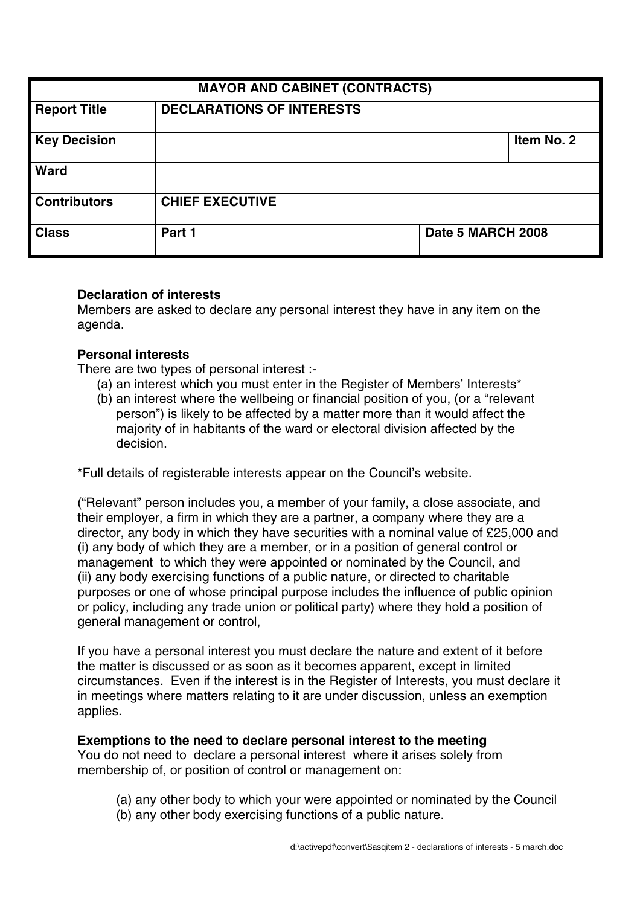| <b>MAYOR AND CABINET (CONTRACTS)</b> |                                  |  |                   |            |
|--------------------------------------|----------------------------------|--|-------------------|------------|
| <b>Report Title</b>                  | <b>DECLARATIONS OF INTERESTS</b> |  |                   |            |
| <b>Key Decision</b>                  |                                  |  |                   | Item No. 2 |
| <b>Ward</b>                          |                                  |  |                   |            |
| <b>Contributors</b>                  | <b>CHIEF EXECUTIVE</b>           |  |                   |            |
| <b>Class</b>                         | Part 1                           |  | Date 5 MARCH 2008 |            |

### **Declaration of interests**

Members are asked to declare any personal interest they have in any item on the agenda.

#### **Personal interests**

There are two types of personal interest :-

- (a) an interest which you must enter in the Register of Members' Interests\*
- (b) an interest where the wellbeing or financial position of you, (or a "relevant person") is likely to be affected by a matter more than it would affect the majority of in habitants of the ward or electoral division affected by the decision.

\*Full details of registerable interests appear on the Council's website.

("Relevant" person includes you, a member of your family, a close associate, and their employer, a firm in which they are a partner, a company where they are a director, any body in which they have securities with a nominal value of £25,000 and (i) any body of which they are a member, or in a position of general control or management to which they were appointed or nominated by the Council, and (ii) any body exercising functions of a public nature, or directed to charitable purposes or one of whose principal purpose includes the influence of public opinion or policy, including any trade union or political party) where they hold a position of general management or control,

If you have a personal interest you must declare the nature and extent of it before the matter is discussed or as soon as it becomes apparent, except in limited circumstances. Even if the interest is in the Register of Interests, you must declare it in meetings where matters relating to it are under discussion, unless an exemption applies.

#### **Exemptions to the need to declare personal interest to the meeting**

You do not need to declare a personal interest where it arises solely from membership of, or position of control or management on:

- (a) any other body to which your were appointed or nominated by the Council
- (b) any other body exercising functions of a public nature.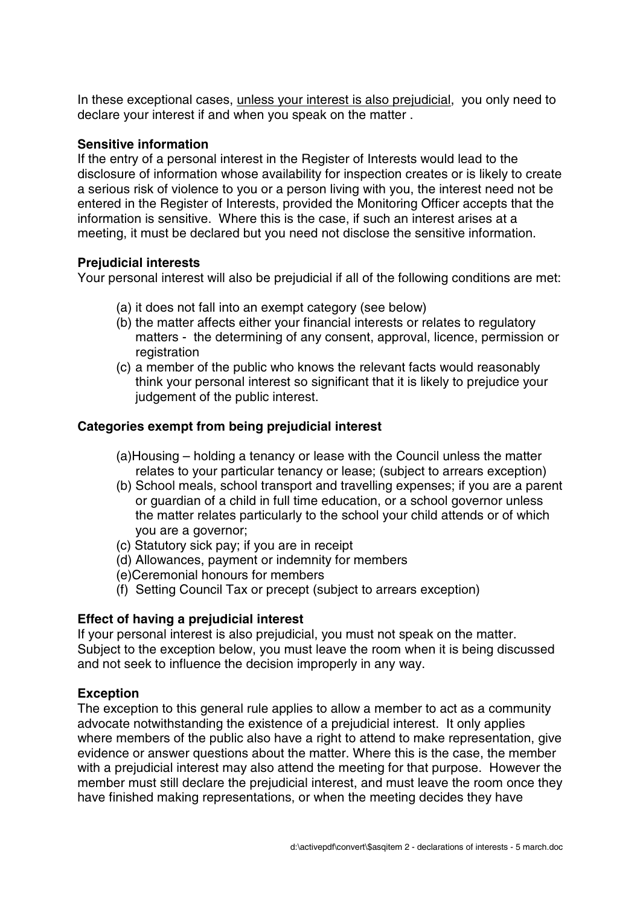In these exceptional cases, unless your interest is also prejudicial, you only need to declare your interest if and when you speak on the matter .

### **Sensitive information**

If the entry of a personal interest in the Register of Interests would lead to the disclosure of information whose availability for inspection creates or is likely to create a serious risk of violence to you or a person living with you, the interest need not be entered in the Register of Interests, provided the Monitoring Officer accepts that the information is sensitive. Where this is the case, if such an interest arises at a meeting, it must be declared but you need not disclose the sensitive information.

### **Prejudicial interests**

Your personal interest will also be prejudicial if all of the following conditions are met:

- (a) it does not fall into an exempt category (see below)
- (b) the matter affects either your financial interests or relates to regulatory matters - the determining of any consent, approval, licence, permission or registration
- (c) a member of the public who knows the relevant facts would reasonably think your personal interest so significant that it is likely to prejudice your judgement of the public interest.

## **Categories exempt from being prejudicial interest**

- (a)Housing holding a tenancy or lease with the Council unless the matter relates to your particular tenancy or lease; (subject to arrears exception)
- (b) School meals, school transport and travelling expenses; if you are a parent or guardian of a child in full time education, or a school governor unless the matter relates particularly to the school your child attends or of which you are a governor;
- (c) Statutory sick pay; if you are in receipt
- (d) Allowances, payment or indemnity for members
- (e)Ceremonial honours for members
- (f) Setting Council Tax or precept (subject to arrears exception)

# **Effect of having a prejudicial interest**

If your personal interest is also prejudicial, you must not speak on the matter. Subject to the exception below, you must leave the room when it is being discussed and not seek to influence the decision improperly in any way.

# **Exception**

The exception to this general rule applies to allow a member to act as a community advocate notwithstanding the existence of a prejudicial interest. It only applies where members of the public also have a right to attend to make representation, give evidence or answer questions about the matter. Where this is the case, the member with a prejudicial interest may also attend the meeting for that purpose. However the member must still declare the prejudicial interest, and must leave the room once they have finished making representations, or when the meeting decides they have